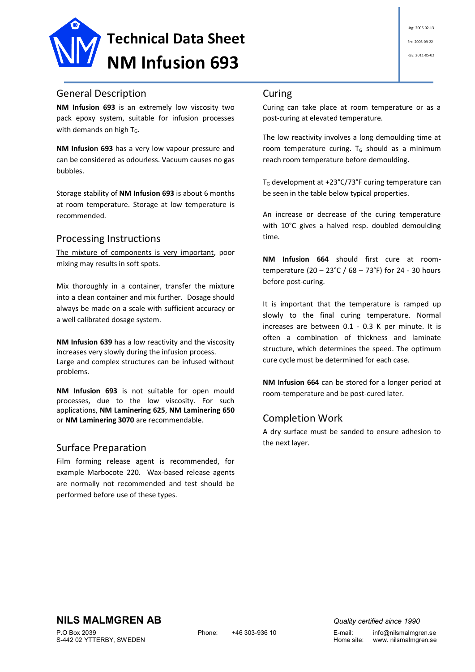

# General Description

**NM Infusion 693** is an extremely low viscosity two pack epoxy system, suitable for infusion processes with demands on high  $T_G$ .

**NM Infusion 693** has a very low vapour pressure and can be considered as odourless. Vacuum causes no gas bubbles.

Storage stability of **NM Infusion 693** is about 6 months at room temperature. Storage at low temperature is recommended.

### Processing Instructions

The mixture of components is very important, poor mixing may results in soft spots.

Mix thoroughly in a container, transfer the mixture into a clean container and mix further. Dosage should always be made on a scale with sufficient accuracy or a well calibrated dosage system.

**NM Infusion 639** has a low reactivity and the viscosity increases very slowly during the infusion process. Large and complex structures can be infused without problems.

**NM Infusion 693** is not suitable for open mould processes, due to the low viscosity. For such applications, **NM Laminering 625**, **NM Laminering 650**  or **NM Laminering 3070** are recommendable.

### Surface Preparation

Film forming release agent is recommended, for example Marbocote 220. Wax-based release agents are normally not recommended and test should be performed before use of these types.

# Curing

Curing can take place at room temperature or as a post-curing at elevated temperature.

The low reactivity involves a long demoulding time at room temperature curing.  $T_G$  should as a minimum reach room temperature before demoulding.

T<sup>G</sup> development at +23°C/73°F curing temperature can be seen in the table below typical properties.

An increase or decrease of the curing temperature with 10°C gives a halved resp. doubled demoulding time.

**NM Infusion 664** should first cure at roomtemperature (20 – 23°C / 68 – 73°F) for 24 - 30 hours before post-curing.

It is important that the temperature is ramped up slowly to the final curing temperature. Normal increases are between 0.1 - 0.3 K per minute. It is often a combination of thickness and laminate structure, which determines the speed. The optimum cure cycle must be determined for each case.

**NM Infusion 664** can be stored for a longer period at room-temperature and be post-cured later.

# Completion Work

A dry surface must be sanded to ensure adhesion to the next layer.

S-442 02 YTTERBY, SWEDEN